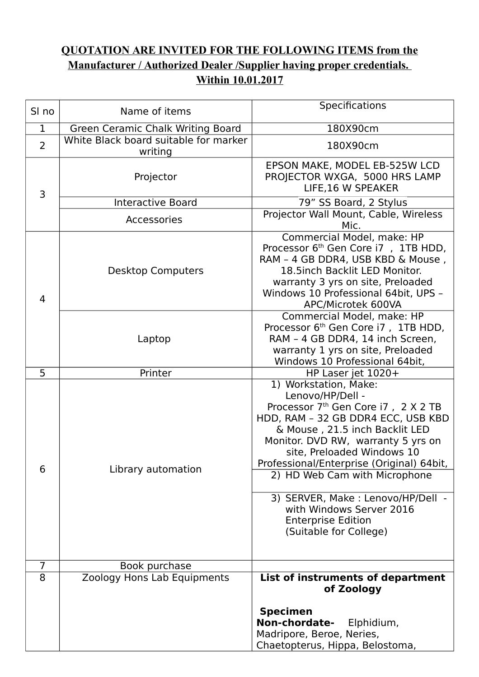## **QUOTATION ARE INVITED FOR THE FOLLOWING ITEMS from the Manufacturer / Authorized Dealer /Supplier having proper credentials. Within 10.01.2017**

| SI no          | Name of items                                    | Specifications                                                                                                                                                                                                                                                                                                                                                                                                                                  |
|----------------|--------------------------------------------------|-------------------------------------------------------------------------------------------------------------------------------------------------------------------------------------------------------------------------------------------------------------------------------------------------------------------------------------------------------------------------------------------------------------------------------------------------|
| 1              | Green Ceramic Chalk Writing Board                | 180X90cm                                                                                                                                                                                                                                                                                                                                                                                                                                        |
| $\overline{2}$ | White Black board suitable for marker<br>writing | 180X90cm                                                                                                                                                                                                                                                                                                                                                                                                                                        |
| 3              | Projector                                        | EPSON MAKE, MODEL EB-525W LCD<br>PROJECTOR WXGA, 5000 HRS LAMP<br>LIFE, 16 W SPEAKER                                                                                                                                                                                                                                                                                                                                                            |
|                | <b>Interactive Board</b>                         | 79" SS Board, 2 Stylus                                                                                                                                                                                                                                                                                                                                                                                                                          |
|                | Accessories                                      | Projector Wall Mount, Cable, Wireless<br>Mic.                                                                                                                                                                                                                                                                                                                                                                                                   |
| $\overline{4}$ | <b>Desktop Computers</b>                         | Commercial Model, make: HP<br>Processor 6 <sup>th</sup> Gen Core i7, 1TB HDD,<br>RAM - 4 GB DDR4, USB KBD & Mouse,<br>18.5inch Backlit LED Monitor.<br>warranty 3 yrs on site, Preloaded<br>Windows 10 Professional 64bit, UPS -<br>APC/Microtek 600VA                                                                                                                                                                                          |
|                | Laptop                                           | Commercial Model, make: HP<br>Processor 6 <sup>th</sup> Gen Core i7, 1TB HDD,<br>RAM - 4 GB DDR4, 14 inch Screen,<br>warranty 1 yrs on site, Preloaded<br>Windows 10 Professional 64bit,                                                                                                                                                                                                                                                        |
| $\overline{5}$ | Printer                                          | HP Laser jet 1020+                                                                                                                                                                                                                                                                                                                                                                                                                              |
| 6              | Library automation                               | 1) Workstation, Make:<br>Lenovo/HP/Dell -<br>Processor 7 <sup>th</sup> Gen Core i7, 2 X 2 TB<br>HDD, RAM - 32 GB DDR4 ECC, USB KBD<br>& Mouse, 21.5 inch Backlit LED<br>Monitor. DVD RW, warranty 5 yrs on<br>site, Preloaded Windows 10<br>Professional/Enterprise (Original) 64bit,<br>2) HD Web Cam with Microphone<br>3) SERVER, Make : Lenovo/HP/Dell -<br>with Windows Server 2016<br><b>Enterprise Edition</b><br>(Suitable for College) |
| $\overline{7}$ | Book purchase                                    |                                                                                                                                                                                                                                                                                                                                                                                                                                                 |
| 8              | Zoology Hons Lab Equipments                      | List of instruments of department<br>of Zoology                                                                                                                                                                                                                                                                                                                                                                                                 |
|                |                                                  | <b>Specimen</b><br>Non-chordate-<br>Elphidium,<br>Madripore, Beroe, Neries,<br>Chaetopterus, Hippa, Belostoma,                                                                                                                                                                                                                                                                                                                                  |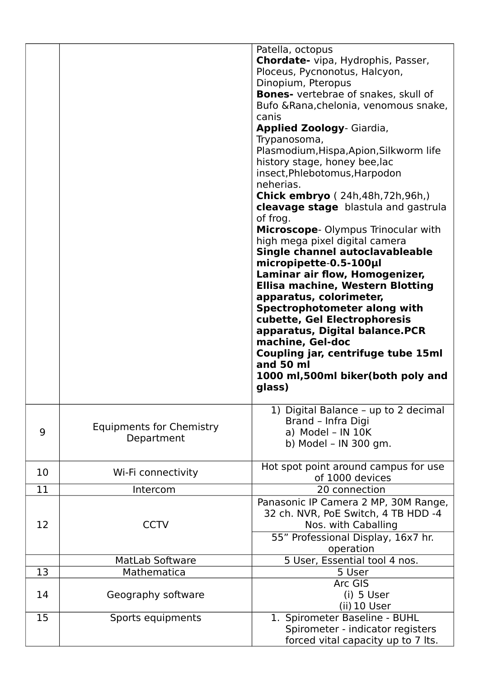|    |                                               | Patella, octopus<br>Chordate- vipa, Hydrophis, Passer,<br>Ploceus, Pycnonotus, Halcyon,<br>Dinopium, Pteropus<br>Bones- vertebrae of snakes, skull of<br>Bufo & Rana, chelonia, venomous snake,<br>canis<br><b>Applied Zoology</b> - Giardia,<br>Trypanosoma,<br>Plasmodium, Hispa, Apion, Silkworm life<br>history stage, honey bee, lac<br>insect, Phlebotomus, Harpodon<br>neherias.<br><b>Chick embryo</b> (24h,48h,72h,96h,)<br><b>cleavage stage</b> blastula and gastrula<br>of frog.<br>Microscope- Olympus Trinocular with<br>high mega pixel digital camera<br>Single channel autoclavableable<br>micropipette-0.5-100µl<br>Laminar air flow, Homogenizer,<br><b>Ellisa machine, Western Blotting</b><br>apparatus, colorimeter,<br>Spectrophotometer along with<br>cubette, Gel Electrophoresis<br>apparatus, Digital balance.PCR<br>machine, Gel-doc<br>Coupling jar, centrifuge tube 15ml<br>and 50 ml<br>1000 ml,500ml biker(both poly and<br>glass) |
|----|-----------------------------------------------|--------------------------------------------------------------------------------------------------------------------------------------------------------------------------------------------------------------------------------------------------------------------------------------------------------------------------------------------------------------------------------------------------------------------------------------------------------------------------------------------------------------------------------------------------------------------------------------------------------------------------------------------------------------------------------------------------------------------------------------------------------------------------------------------------------------------------------------------------------------------------------------------------------------------------------------------------------------------|
| 9  | <b>Equipments for Chemistry</b><br>Department | 1) Digital Balance - up to 2 decimal<br>Brand - Infra Digi<br>a) Model - IN $10K$<br>b) Model - IN 300 gm.                                                                                                                                                                                                                                                                                                                                                                                                                                                                                                                                                                                                                                                                                                                                                                                                                                                         |
| 10 | Wi-Fi connectivity                            | Hot spot point around campus for use<br>of 1000 devices                                                                                                                                                                                                                                                                                                                                                                                                                                                                                                                                                                                                                                                                                                                                                                                                                                                                                                            |
| 11 | Intercom                                      | 20 connection                                                                                                                                                                                                                                                                                                                                                                                                                                                                                                                                                                                                                                                                                                                                                                                                                                                                                                                                                      |
| 12 | <b>CCTV</b>                                   | Panasonic IP Camera 2 MP, 30M Range,<br>32 ch. NVR, PoE Switch, 4 TB HDD -4<br>Nos. with Caballing<br>55" Professional Display, 16x7 hr.<br>operation                                                                                                                                                                                                                                                                                                                                                                                                                                                                                                                                                                                                                                                                                                                                                                                                              |
|    | <b>MatLab Software</b>                        | 5 User, Essential tool 4 nos.                                                                                                                                                                                                                                                                                                                                                                                                                                                                                                                                                                                                                                                                                                                                                                                                                                                                                                                                      |
| 13 | Mathematica                                   | 5 User                                                                                                                                                                                                                                                                                                                                                                                                                                                                                                                                                                                                                                                                                                                                                                                                                                                                                                                                                             |
| 14 | Geography software                            | Arc GIS<br>$(i)$ 5 User<br>(ii) 10 User                                                                                                                                                                                                                                                                                                                                                                                                                                                                                                                                                                                                                                                                                                                                                                                                                                                                                                                            |
| 15 | Sports equipments                             | 1. Spirometer Baseline - BUHL<br>Spirometer - indicator registers<br>forced vital capacity up to 7 lts.                                                                                                                                                                                                                                                                                                                                                                                                                                                                                                                                                                                                                                                                                                                                                                                                                                                            |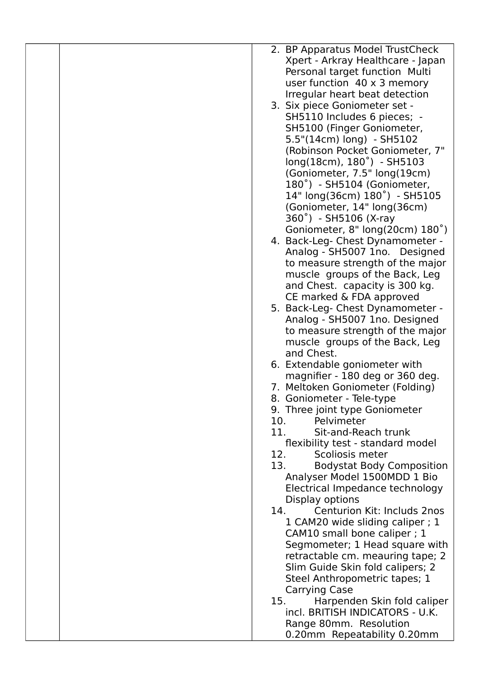| 2. BP Apparatus Model TrustCheck                                    |
|---------------------------------------------------------------------|
| Xpert - Arkray Healthcare - Japan                                   |
| Personal target function Multi                                      |
| user function $40 \times 3$ memory                                  |
| Irregular heart beat detection                                      |
| 3. Six piece Goniometer set -                                       |
| SH5110 Includes 6 pieces; -                                         |
| SH5100 (Finger Goniometer,                                          |
| 5.5"(14cm) long) - SH5102                                           |
| (Robinson Pocket Goniometer, 7"                                     |
| long(18cm), 180°) - SH5103                                          |
| (Goniometer, 7.5" long(19cm)                                        |
| 180°) - SH5104 (Goniometer,                                         |
| 14" long(36cm) 180°) - SH5105                                       |
| (Goniometer, 14" long(36cm)                                         |
| 360°) - SH5106 (X-ray                                               |
|                                                                     |
| Goniometer, 8" long(20cm) 180°)<br>4. Back-Leg- Chest Dynamometer - |
| Analog - SH5007 1no. Designed                                       |
| to measure strength of the major                                    |
| muscle groups of the Back, Leg                                      |
| and Chest. capacity is 300 kg.                                      |
| CE marked & FDA approved                                            |
| 5. Back-Leg- Chest Dynamometer -                                    |
| Analog - SH5007 1no. Designed                                       |
| to measure strength of the major                                    |
| muscle groups of the Back, Leg                                      |
| and Chest.                                                          |
| 6. Extendable goniometer with                                       |
| magnifier - 180 deg or 360 deg.                                     |
| 7. Meltoken Goniometer (Folding)                                    |
| 8. Goniometer - Tele-type                                           |
| 9. Three joint type Goniometer                                      |
| 10.<br>Pelvimeter                                                   |
| 11.<br>Sit-and-Reach trunk                                          |
| flexibility test - standard model                                   |
| 12.<br>Scoliosis meter                                              |
| 13.<br><b>Bodystat Body Composition</b>                             |
| Analyser Model 1500MDD 1 Bio                                        |
| Electrical Impedance technology                                     |
| Display options                                                     |
| Centurion Kit: Includs 2nos<br>14.                                  |
| 1 CAM20 wide sliding caliper; 1                                     |
| CAM10 small bone caliper ; 1                                        |
| Segmometer; 1 Head square with                                      |
| retractable cm. meauring tape; 2                                    |
| Slim Guide Skin fold calipers; 2                                    |
| Steel Anthropometric tapes; 1                                       |
| <b>Carrying Case</b>                                                |
| Harpenden Skin fold caliper<br>15.                                  |
| incl. BRITISH INDICATORS - U.K.                                     |
| Range 80mm. Resolution                                              |
| 0.20mm Repeatability 0.20mm                                         |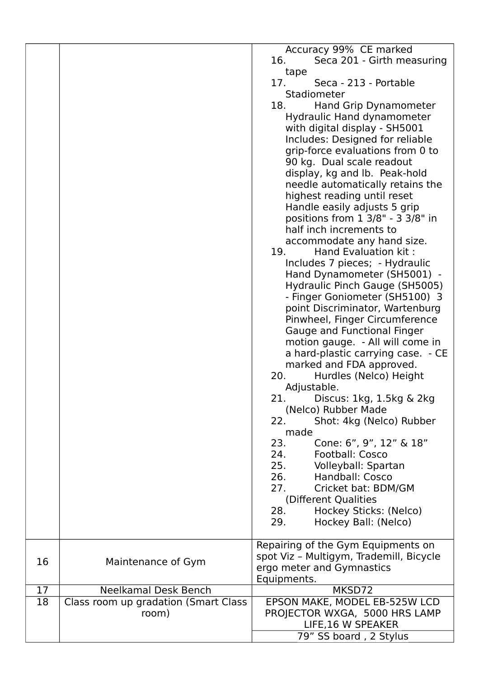|    |                                               | Accuracy 99% CE marked<br>16.<br>Seca 201 - Girth measuring<br>tape<br>17.<br>Seca - 213 - Portable<br>Stadiometer<br>18.<br>Hand Grip Dynamometer<br>Hydraulic Hand dynamometer<br>with digital display - SH5001<br>Includes: Designed for reliable<br>grip-force evaluations from 0 to<br>90 kg. Dual scale readout<br>display, kg and lb. Peak-hold<br>needle automatically retains the<br>highest reading until reset<br>Handle easily adjusts 5 grip<br>positions from 1 3/8" - 3 3/8" in<br>half inch increments to<br>accommodate any hand size.<br>19.<br>Hand Evaluation kit:<br>Includes 7 pieces; - Hydraulic<br>Hand Dynamometer (SH5001) -<br>Hydraulic Pinch Gauge (SH5005)<br>- Finger Goniometer (SH5100) 3<br>point Discriminator, Wartenburg<br>Pinwheel, Finger Circumference<br>Gauge and Functional Finger<br>motion gauge. - All will come in<br>a hard-plastic carrying case. - CE<br>marked and FDA approved.<br>20.<br>Hurdles (Nelco) Height<br>Adjustable.<br>21<br>Discus: 1kg, 1.5kg & 2kg<br>(Nelco) Rubber Made<br>Shot: 4kg (Nelco) Rubber<br>22.<br>made<br>23.<br>Cone: 6", 9", 12" & 18"<br>24.<br><b>Football: Cosco</b><br>25. Volleyball: Spartan<br>26.<br><b>Handball: Cosco</b><br>Cricket bat: BDM/GM<br>27.<br>(Different Qualities |
|----|-----------------------------------------------|--------------------------------------------------------------------------------------------------------------------------------------------------------------------------------------------------------------------------------------------------------------------------------------------------------------------------------------------------------------------------------------------------------------------------------------------------------------------------------------------------------------------------------------------------------------------------------------------------------------------------------------------------------------------------------------------------------------------------------------------------------------------------------------------------------------------------------------------------------------------------------------------------------------------------------------------------------------------------------------------------------------------------------------------------------------------------------------------------------------------------------------------------------------------------------------------------------------------------------------------------------------------------------|
|    |                                               |                                                                                                                                                                                                                                                                                                                                                                                                                                                                                                                                                                                                                                                                                                                                                                                                                                                                                                                                                                                                                                                                                                                                                                                                                                                                                |
|    |                                               | 28.<br>Hockey Sticks: (Nelco)<br>Hockey Ball: (Nelco)<br>29.                                                                                                                                                                                                                                                                                                                                                                                                                                                                                                                                                                                                                                                                                                                                                                                                                                                                                                                                                                                                                                                                                                                                                                                                                   |
|    |                                               |                                                                                                                                                                                                                                                                                                                                                                                                                                                                                                                                                                                                                                                                                                                                                                                                                                                                                                                                                                                                                                                                                                                                                                                                                                                                                |
| 16 | Maintenance of Gym                            | Repairing of the Gym Equipments on<br>spot Viz - Multigym, Trademill, Bicycle<br>ergo meter and Gymnastics<br>Equipments.                                                                                                                                                                                                                                                                                                                                                                                                                                                                                                                                                                                                                                                                                                                                                                                                                                                                                                                                                                                                                                                                                                                                                      |
| 17 | <b>Neelkamal Desk Bench</b>                   | MKSD72                                                                                                                                                                                                                                                                                                                                                                                                                                                                                                                                                                                                                                                                                                                                                                                                                                                                                                                                                                                                                                                                                                                                                                                                                                                                         |
| 18 | Class room up gradation (Smart Class<br>room) | EPSON MAKE, MODEL EB-525W LCD<br>PROJECTOR WXGA, 5000 HRS LAMP<br>LIFE, 16 W SPEAKER<br>79" SS board, 2 Stylus                                                                                                                                                                                                                                                                                                                                                                                                                                                                                                                                                                                                                                                                                                                                                                                                                                                                                                                                                                                                                                                                                                                                                                 |